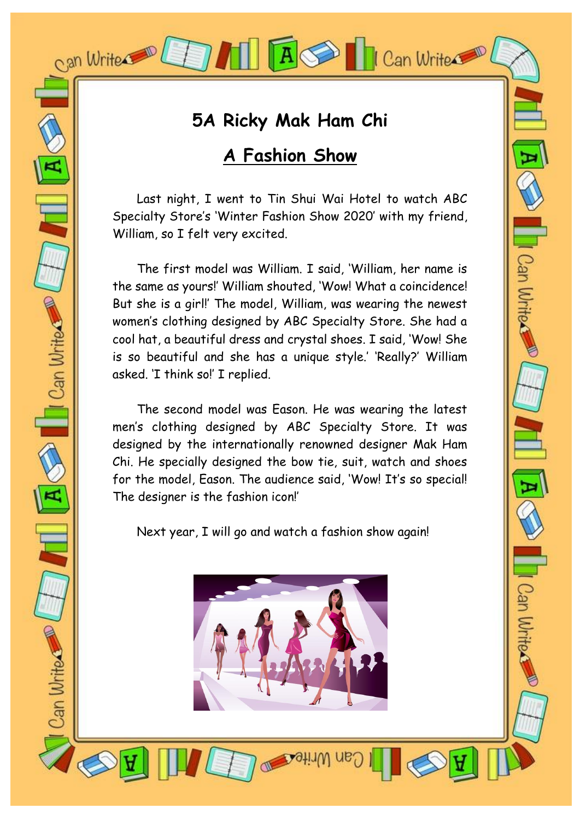### **5A Ricky Mak Ham Chi**

A SO | Can Write

Can Write

Wh Wr

Can Write

 $\bigcirc$   $\blacksquare$  Can Write

Can Write

### **A Fashion Show**

Last night, I went to Tin Shui Wai Hotel to watch ABC Specialty Store's 'Winter Fashion Show 2020' with my friend, William, so I felt very excited.

The first model was William. I said, 'William, her name is the same as yours!' William shouted, 'Wow! What a coincidence! But she is a girl!' The model, William, was wearing the newest women's clothing designed by ABC Specialty Store. She had a cool hat, a beautiful dress and crystal shoes. I said, 'Wow! She is so beautiful and she has a unique style.' 'Really?' William asked. 'I think so!' I replied.

The second model was Eason. He was wearing the latest men's clothing designed by ABC Specialty Store. It was designed by the internationally renowned designer Mak Ham Chi. He specially designed the bow tie, suit, watch and shoes for the model, Eason. The audience said, 'Wow! It's so special! The designer is the fashion icon!'

Next year, I will go and watch a fashion show again!

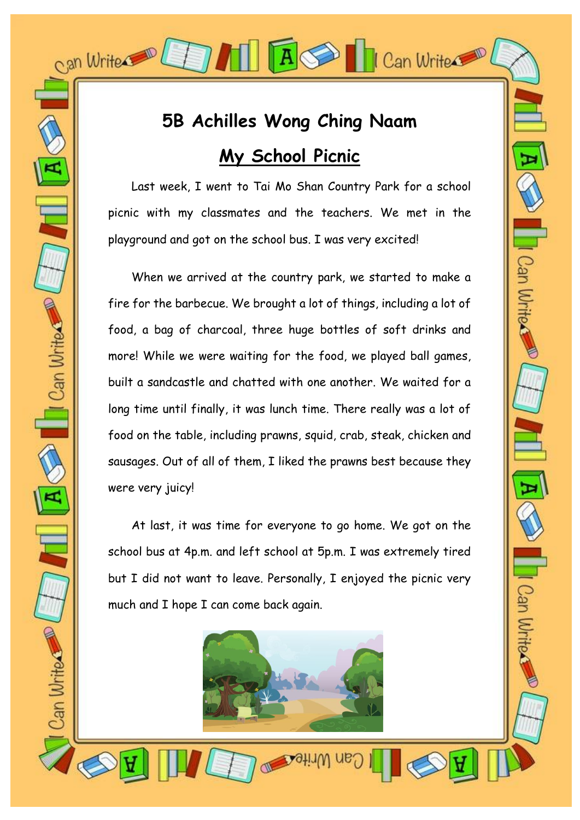# **5B Achilles Wong Ching Naam My School Picnic**

 $\vert A \vert$ 

Can Write

Can Write

Can Write

Can Write

 $\frac{1}{\sqrt{2}}$ 

 $\mathbf{A}$ 

Can Write

Last week, I went to Tai Mo Shan Country Park for a school picnic with my classmates and the teachers. We met in the playground and got on the school bus. I was very excited!

When we arrived at the country park, we started to make a fire for the barbecue. We brought a lot of things, including a lot of food, a bag of charcoal, three huge bottles of soft drinks and more! While we were waiting for the food, we played ball games, built a sandcastle and chatted with one another. We waited for a long time until finally, it was lunch time. There really was a lot of food on the table, including prawns, squid, crab, steak, chicken and sausages. Out of all of them, I liked the prawns best because they were very juicy!

At last, it was time for everyone to go home. We got on the school bus at 4p.m. and left school at 5p.m. I was extremely tired but I did not want to leave. Personally, I enjoyed the picnic very much and I hope I can come back again.

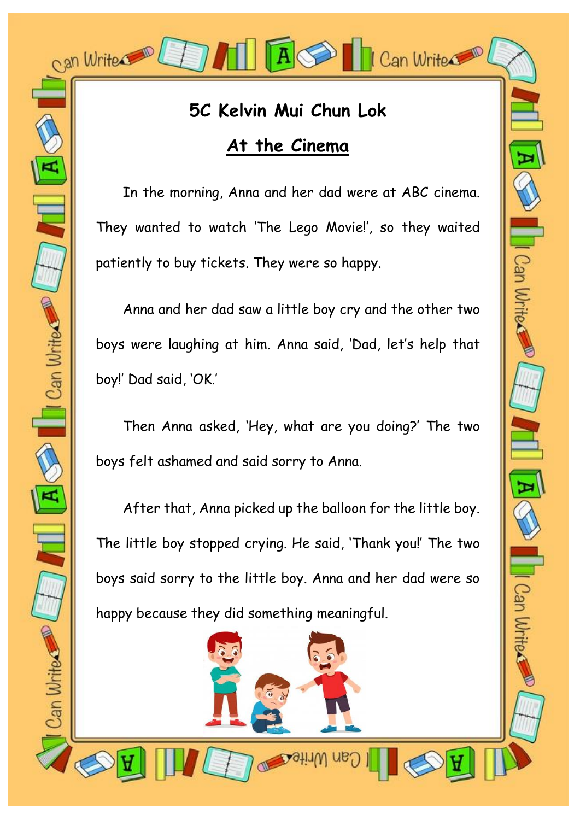## **5C Kelvin Mui Chun Lok At the Cinema**

 $\overline{A}$ 

Can Write

Can Write

**Ill** Can Write

Can Write

 In the morning, Anna and her dad were at ABC cinema. They wanted to watch 'The Lego Movie!', so they waited patiently to buy tickets. They were so happy.

 Anna and her dad saw a little boy cry and the other two boys were laughing at him. Anna said, 'Dad, let's help that boy!' Dad said, 'OK.'

 Then Anna asked, 'Hey, what are you doing?' The two boys felt ashamed and said sorry to Anna.

 After that, Anna picked up the balloon for the little boy. The little boy stopped crying. He said, 'Thank you!' The two boys said sorry to the little boy. Anna and her dad were so happy because they did something meaningful.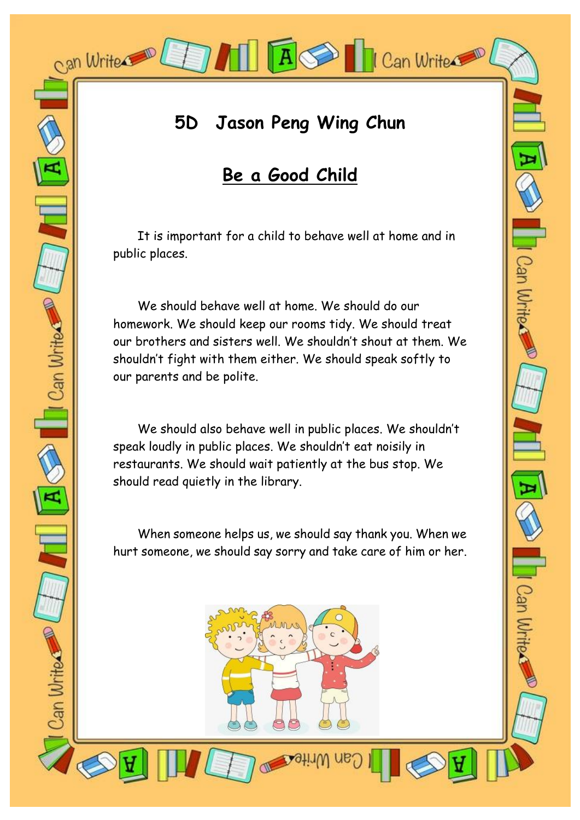## **5D Jason Peng Wing Chun**

 $|A|$ 

Can Write

Can Write.

### **Be a Good Child**

It is important for a child to behave well at home and in public places.

We should behave well at home. We should do our homework. We should keep our rooms tidy. We should treat our brothers and sisters well. We shouldn't shout at them. We shouldn't fight with them either. We should speak softly to our parents and be polite.

We should also behave well in public places. We shouldn't speak loudly in public places. We shouldn't eat noisily in restaurants. We should wait patiently at the bus stop. We should read quietly in the library.

When someone helps us, we should say thank you. When we hurt someone, we should say sorry and take care of him or her.